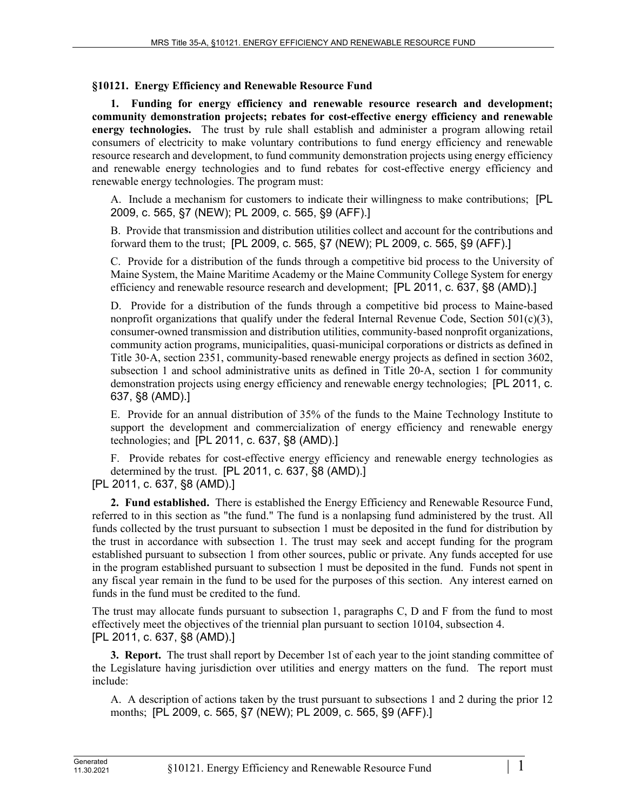## **§10121. Energy Efficiency and Renewable Resource Fund**

**1. Funding for energy efficiency and renewable resource research and development; community demonstration projects; rebates for cost-effective energy efficiency and renewable energy technologies.** The trust by rule shall establish and administer a program allowing retail consumers of electricity to make voluntary contributions to fund energy efficiency and renewable resource research and development, to fund community demonstration projects using energy efficiency and renewable energy technologies and to fund rebates for cost-effective energy efficiency and renewable energy technologies. The program must:

A. Include a mechanism for customers to indicate their willingness to make contributions; [PL 2009, c. 565, §7 (NEW); PL 2009, c. 565, §9 (AFF).]

B. Provide that transmission and distribution utilities collect and account for the contributions and forward them to the trust; [PL 2009, c. 565, §7 (NEW); PL 2009, c. 565, §9 (AFF).]

C. Provide for a distribution of the funds through a competitive bid process to the University of Maine System, the Maine Maritime Academy or the Maine Community College System for energy efficiency and renewable resource research and development; [PL 2011, c. 637, §8 (AMD).]

D. Provide for a distribution of the funds through a competitive bid process to Maine-based nonprofit organizations that qualify under the federal Internal Revenue Code, Section  $501(c)(3)$ , consumer-owned transmission and distribution utilities, community-based nonprofit organizations, community action programs, municipalities, quasi-municipal corporations or districts as defined in Title 30‑A, section 2351, community-based renewable energy projects as defined in section 3602, subsection 1 and school administrative units as defined in Title 20-A, section 1 for community demonstration projects using energy efficiency and renewable energy technologies; [PL 2011, c. 637, §8 (AMD).]

E. Provide for an annual distribution of 35% of the funds to the Maine Technology Institute to support the development and commercialization of energy efficiency and renewable energy technologies; and [PL 2011, c. 637, §8 (AMD).]

F. Provide rebates for cost-effective energy efficiency and renewable energy technologies as determined by the trust. [PL 2011, c. 637, §8 (AMD).]

[PL 2011, c. 637, §8 (AMD).]

**2. Fund established.** There is established the Energy Efficiency and Renewable Resource Fund, referred to in this section as "the fund." The fund is a nonlapsing fund administered by the trust. All funds collected by the trust pursuant to subsection 1 must be deposited in the fund for distribution by the trust in accordance with subsection 1. The trust may seek and accept funding for the program established pursuant to subsection 1 from other sources, public or private. Any funds accepted for use in the program established pursuant to subsection 1 must be deposited in the fund. Funds not spent in any fiscal year remain in the fund to be used for the purposes of this section. Any interest earned on funds in the fund must be credited to the fund.

The trust may allocate funds pursuant to subsection 1, paragraphs C, D and F from the fund to most effectively meet the objectives of the triennial plan pursuant to section 10104, subsection 4. [PL 2011, c. 637, §8 (AMD).]

**3. Report.** The trust shall report by December 1st of each year to the joint standing committee of the Legislature having jurisdiction over utilities and energy matters on the fund. The report must include:

A. A description of actions taken by the trust pursuant to subsections 1 and 2 during the prior 12 months; [PL 2009, c. 565, §7 (NEW); PL 2009, c. 565, §9 (AFF).]